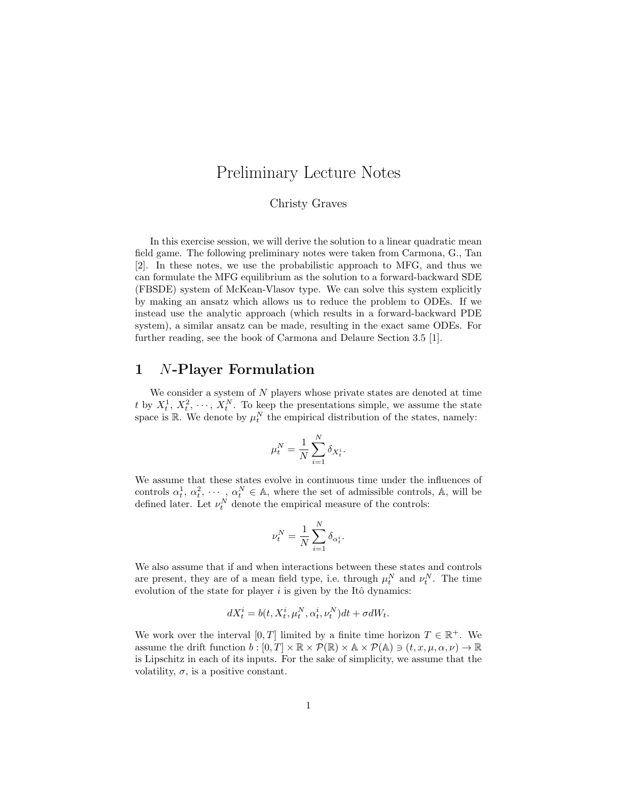# Preliminary Lecture Notes

#### Christy Graves

In this exercise session, we will derive the solution to a linear quadratic mean field game. The following preliminary notes were taken from Carmona, G., Tan [2]. In these notes, we use the probabilistic approach to MFG, and thus we can formulate the MFG equilibrium as the solution to a forward-backward SDE (FBSDE) system of McKean-Vlasov type. We can solve this system explicitly by making an ansatz which allows us to reduce the problem to ODEs. If we instead use the analytic approach (which results in a forward-backward PDE system), a similar ansatz can be made, resulting in the exact same ODEs. For further reading, see the book of Carmona and Delaure Section 3.5 [1].

### 1 N-Player Formulation

We consider a system of  $N$  players whose private states are denoted at time t by  $X_t^1, X_t^2, \dots, X_t^N$ . To keep the presentations simple, we assume the state space is  $\mathbb{R}$ . We denote by  $\mu_t^N$  the empirical distribution of the states, namely:

$$
\mu_t^N = \frac{1}{N} \sum_{i=1}^N \delta_{X_t^i}.
$$

We assume that these states evolve in continuous time under the influences of controls  $\alpha_t^1, \alpha_t^2, \cdots, \alpha_t^N \in A$ , where the set of admissible controls, A, will be defined later. Let  $\nu_t^N$  denote the empirical measure of the controls:

$$
\nu^N_t = \frac{1}{N} \sum_{i=1}^N \delta_{\alpha^i_t}.
$$

We also assume that if and when interactions between these states and controls are present, they are of a mean field type, i.e. through  $\mu_t^N$  and  $\nu_t^N$ . The time evolution of the state for player  $i$  is given by the Itô dynamics:

$$
dX_t^i = b(t, X_t^i, \mu_t^N, \alpha_t^i, \nu_t^N)dt + \sigma dW_t.
$$

We work over the interval  $[0, T]$  limited by a finite time horizon  $T \in \mathbb{R}^+$ . We assume the drift function  $b : [0, T] \times \mathbb{R} \times \mathcal{P}(\mathbb{R}) \times \mathbb{A} \times \mathcal{P}(\mathbb{A}) \ni (t, x, \mu, \alpha, \nu) \to \mathbb{R}$ is Lipschitz in each of its inputs. For the sake of simplicity, we assume that the volatility,  $\sigma$ , is a positive constant.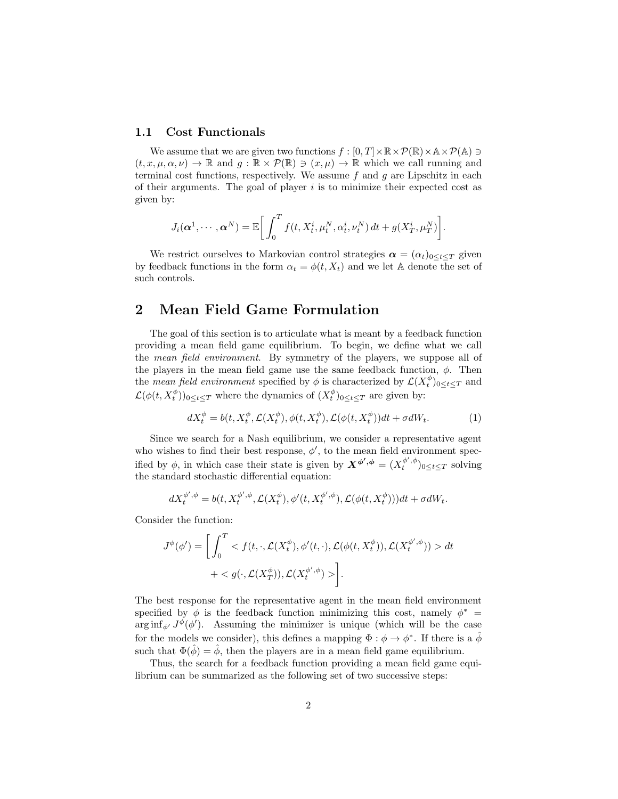#### 1.1 Cost Functionals

We assume that we are given two functions  $f : [0, T] \times \mathbb{R} \times \mathcal{P}(\mathbb{R}) \times \mathbb{A} \times \mathcal{P}(\mathbb{A}) \ni$  $(t, x, \mu, \alpha, \nu) \to \mathbb{R}$  and  $g : \mathbb{R} \times \mathcal{P}(\mathbb{R}) \to (x, \mu) \to \mathbb{R}$  which we call running and terminal cost functions, respectively. We assume f and q are Lipschitz in each of their arguments. The goal of player  $i$  is to minimize their expected cost as given by:

$$
J_i(\boldsymbol{\alpha}^1,\cdots,\boldsymbol{\alpha}^N)=\mathbb{E}\bigg[\int_0^Tf(t,X_t^i,\mu_t^N,\alpha_t^i,\nu_t^N)\,dt+g(X_T^i,\mu_T^N)\bigg].
$$

We restrict ourselves to Markovian control strategies  $\boldsymbol{\alpha} = (\alpha_t)_{0 \leq t \leq T}$  given by feedback functions in the form  $\alpha_t = \phi(t, X_t)$  and we let A denote the set of such controls.

### 2 Mean Field Game Formulation

The goal of this section is to articulate what is meant by a feedback function providing a mean field game equilibrium. To begin, we define what we call the mean field environment. By symmetry of the players, we suppose all of the players in the mean field game use the same feedback function,  $\phi$ . Then the *mean field environment* specified by  $\phi$  is characterized by  $\mathcal{L}(X_t^{\phi})_{0 \leq t \leq T}$  and  $\mathcal{L}(\phi(t, X_t^{\phi}))_{0 \le t \le T}$  where the dynamics of  $(X_t^{\phi})_{0 \le t \le T}$  are given by:

$$
dX_t^{\phi} = b(t, X_t^{\phi}, \mathcal{L}(X_t^{\phi}), \phi(t, X_t^{\phi}), \mathcal{L}(\phi(t, X_t^{\phi}))dt + \sigma dW_t.
$$
 (1)

Since we search for a Nash equilibrium, we consider a representative agent who wishes to find their best response,  $\phi'$ , to the mean field environment specified by  $\phi$ , in which case their state is given by  $\mathbf{X}^{\phi',\phi} = (X_t^{\phi',\phi})_{0 \leq t \leq T}$  solving the standard stochastic differential equation:

$$
dX_t^{\phi',\phi} = b(t, X_t^{\phi',\phi}, \mathcal{L}(X_t^{\phi}), \phi'(t, X_t^{\phi',\phi}), \mathcal{L}(\phi(t, X_t^{\phi})))dt + \sigma dW_t.
$$

Consider the function:

$$
J^{\phi}(\phi') = \left[ \int_0^T \langle f(t, \cdot, \mathcal{L}(X_t^{\phi}), \phi'(t, \cdot), \mathcal{L}(\phi(t, X_t^{\phi})), \mathcal{L}(X_t^{\phi', \phi})) \rangle dt + \langle g(\cdot, \mathcal{L}(X_T^{\phi'}), \mathcal{L}(X_t^{\phi', \phi}) \rangle \right].
$$

The best response for the representative agent in the mean field environment specified by  $\phi$  is the feedback function minimizing this cost, namely  $\phi^*$  =  $\arg \inf_{\phi'} J^{\phi}(\phi')$ . Assuming the minimizer is unique (which will be the case for the models we consider), this defines a mapping  $\Phi : \phi \to \phi^*$ . If there is a  $\hat{\phi}$ such that  $\Phi(\hat{\phi}) = \hat{\phi}$ , then the players are in a mean field game equilibrium.

Thus, the search for a feedback function providing a mean field game equilibrium can be summarized as the following set of two successive steps: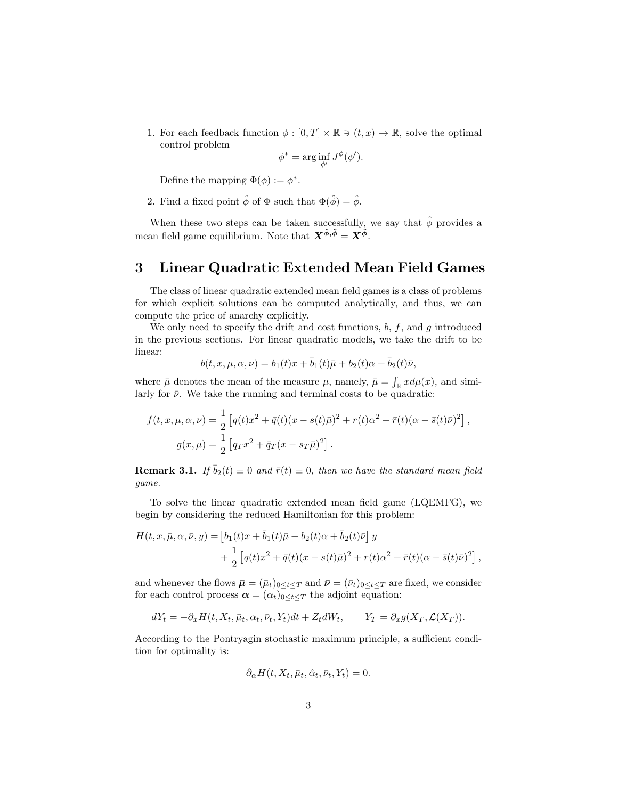1. For each feedback function  $\phi : [0, T] \times \mathbb{R} \ni (t, x) \to \mathbb{R}$ , solve the optimal control problem

$$
\phi^* = \arg\inf_{\phi'} J^{\phi}(\phi').
$$

Define the mapping  $\Phi(\phi) := \phi^*$ .

2. Find a fixed point  $\hat{\phi}$  of  $\Phi$  such that  $\Phi(\hat{\phi}) = \hat{\phi}$ .

When these two steps can be taken successfully, we say that  $\hat{\phi}$  provides a mean field game equilibrium. Note that  $X^{\hat{\phi}, \hat{\phi}} = X^{\hat{\phi}}$ .

## 3 Linear Quadratic Extended Mean Field Games

The class of linear quadratic extended mean field games is a class of problems for which explicit solutions can be computed analytically, and thus, we can compute the price of anarchy explicitly.

We only need to specify the drift and cost functions,  $b, f$ , and  $g$  introduced in the previous sections. For linear quadratic models, we take the drift to be linear:

$$
b(t, x, \mu, \alpha, \nu) = b_1(t)x + \bar{b}_1(t)\bar{\mu} + b_2(t)\alpha + \bar{b}_2(t)\bar{\nu},
$$

where  $\bar{\mu}$  denotes the mean of the measure  $\mu$ , namely,  $\bar{\mu} = \int_{\mathbb{R}} x d\mu(x)$ , and similarly for  $\bar{\nu}$ . We take the running and terminal costs to be quadratic:

$$
f(t, x, \mu, \alpha, \nu) = \frac{1}{2} \left[ q(t)x^2 + \bar{q}(t)(x - s(t)\bar{\mu})^2 + r(t)\alpha^2 + \bar{r}(t)(\alpha - \bar{s}(t)\bar{\nu})^2 \right],
$$
  

$$
g(x, \mu) = \frac{1}{2} \left[ q_T x^2 + \bar{q}_T (x - s_T \bar{\mu})^2 \right].
$$

**Remark 3.1.** If  $\bar{b}_2(t) \equiv 0$  and  $\bar{r}(t) \equiv 0$ , then we have the standard mean field game.

To solve the linear quadratic extended mean field game (LQEMFG), we begin by considering the reduced Hamiltonian for this problem:

$$
H(t, x, \bar{\mu}, \alpha, \bar{\nu}, y) = [b_1(t)x + \bar{b}_1(t)\bar{\mu} + b_2(t)\alpha + \bar{b}_2(t)\bar{\nu}] y + \frac{1}{2} [q(t)x^2 + \bar{q}(t)(x - s(t)\bar{\mu})^2 + r(t)\alpha^2 + \bar{r}(t)(\alpha - \bar{s}(t)\bar{\nu})^2],
$$

and whenever the flows  $\bar{\mu} = (\bar{\mu}_t)_{0 \leq t \leq T}$  and  $\bar{\nu} = (\bar{\nu}_t)_{0 \leq t \leq T}$  are fixed, we consider for each control process  $\alpha = (\alpha_t)_{0 \leq t \leq T}$  the adjoint equation:

$$
dY_t = -\partial_x H(t, X_t, \bar{\mu}_t, \alpha_t, \bar{\nu}_t, Y_t)dt + Z_t dW_t, \qquad Y_T = \partial_x g(X_T, \mathcal{L}(X_T)).
$$

According to the Pontryagin stochastic maximum principle, a sufficient condition for optimality is:

$$
\partial_{\alpha} H(t, X_t, \bar{\mu}_t, \hat{\alpha}_t, \bar{\nu}_t, Y_t) = 0.
$$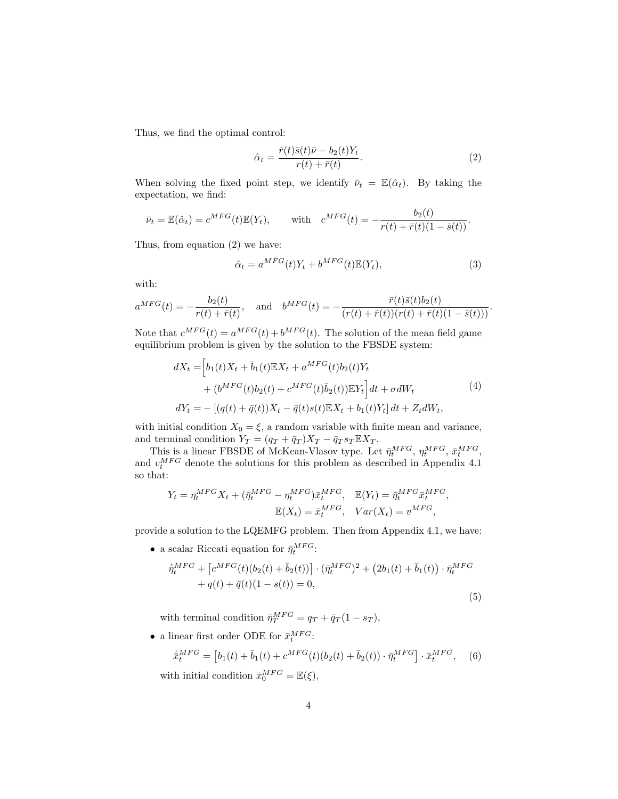Thus, we find the optimal control:

$$
\hat{\alpha}_t = \frac{\bar{r}(t)\bar{s}(t)\bar{\nu} - b_2(t)Y_t}{r(t) + \bar{r}(t)}.
$$
\n(2)

When solving the fixed point step, we identify  $\bar{\nu}_t = \mathbb{E}(\hat{\alpha}_t)$ . By taking the expectation, we find:

$$
\bar{\nu}_t = \mathbb{E}(\hat{\alpha}_t) = c^{MFG}(t)\mathbb{E}(Y_t), \quad \text{with} \quad c^{MFG}(t) = -\frac{b_2(t)}{r(t) + \bar{r}(t)(1 - \bar{s}(t))}.
$$

Thus, from equation (2) we have:

$$
\hat{\alpha}_t = a^{MFG}(t)Y_t + b^{MFG}(t)\mathbb{E}(Y_t),\tag{3}
$$

,

with:

$$
a^{MFG}(t) = -\frac{b_2(t)}{r(t) + \bar{r}(t)}, \text{ and } b^{MFG}(t) = -\frac{\bar{r}(t)\bar{s}(t)b_2(t)}{(r(t) + \bar{r}(t))(r(t) + \bar{r}(t)(1 - \bar{s}(t)))}.
$$

Note that  $c^{MFG}(t) = a^{MFG}(t) + b^{MFG}(t)$ . The solution of the mean field game equilibrium problem is given by the solution to the FBSDE system:

$$
dX_t = \left[b_1(t)X_t + \bar{b}_1(t)\mathbb{E}X_t + a^{MFG}(t)b_2(t)Y_t\right] + (b^{MFG}(t)b_2(t) + c^{MFG}(t)\bar{b}_2(t))\mathbb{E}Y_t\right]dt + \sigma dW_t
$$
  
\n
$$
dY_t = -\left[(q(t) + \bar{q}(t))X_t - \bar{q}(t)s(t)\mathbb{E}X_t + b_1(t)Y_t\right]dt + Z_t dW_t,
$$
\n(4)

with initial condition  $X_0 = \xi$ , a random variable with finite mean and variance, and terminal condition  $Y_T = (q_T + \bar{q}_T)X_T - \bar{q}_T s_T \mathbb{E} X_T$ .

This is a linear FBSDE of McKean-Vlasov type. Let  $\bar{\eta}_t^{MFG}$ ,  $\eta_t^{MFG}$ ,  $\bar{x}_t^{MFG}$ , and  $v_t^{MFG}$  denote the solutions for this problem as described in Appendix 4.1 so that:

$$
Y_t = \eta_t^{MFG} X_t + (\bar{\eta}_t^{MFG} - \eta_t^{MFG}) \bar{x}_t^{MFG}, \quad \mathbb{E}(Y_t) = \bar{\eta}_t^{MFG} \bar{x}_t^{MFG}
$$

$$
\mathbb{E}(X_t) = \bar{x}_t^{MFG}, \quad Var(X_t) = v^{MFG},
$$

provide a solution to the LQEMFG problem. Then from Appendix 4.1, we have:

• a scalar Riccati equation for  $\bar{\eta}^{MFG}_{t}$ :

$$
\dot{\bar{\eta}}_t^{MFG} + \left[c^{MFG}(t)(b_2(t) + \bar{b}_2(t))\right] \cdot (\bar{\eta}_t^{MFG})^2 + (2b_1(t) + \bar{b}_1(t)) \cdot \bar{\eta}_t^{MFG} + q(t) + \bar{q}(t)(1 - s(t)) = 0,
$$
\n(5)

with terminal condition  $\bar{\eta}_T^{MFG} = q_T + \bar{q}_T (1 - s_T),$ 

• a linear first order ODE for  $\bar{x}_t^{MFG}$ :

$$
\dot{\bar{x}}_t^{MFG} = \left[b_1(t) + \bar{b}_1(t) + c^{MFG}(t)(b_2(t) + \bar{b}_2(t)) \cdot \bar{\eta}_t^{MFG}\right] \cdot \bar{x}_t^{MFG}, \quad (6)
$$

with initial condition  $\bar{x}_0^{MFG} = \mathbb{E}(\xi)$ ,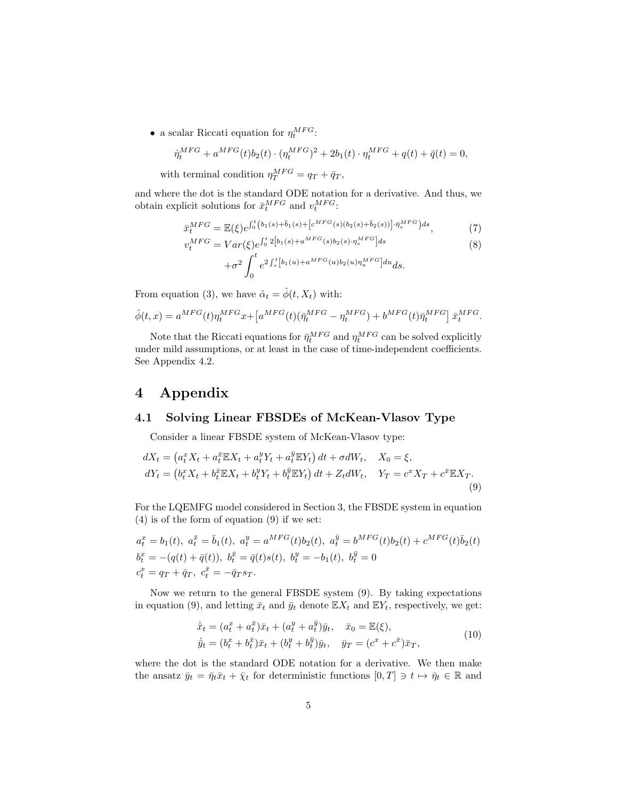• a scalar Riccati equation for  $\eta_t^{MFG}$ :

$$
\dot{\eta}_t^{MFG} + a^{MFG}(t)b_2(t) \cdot (\eta_t^{MFG})^2 + 2b_1(t) \cdot \eta_t^{MFG} + q(t) + \bar{q}(t) = 0,
$$

with terminal condition  $\eta_T^{MFG} = q_T + \bar{q}_T$ ,

and where the dot is the standard ODE notation for a derivative. And thus, we obtain explicit solutions for  $\bar{x}_t^{MFG}$  and  $v_t^{MFG}$ :

$$
\bar{x}_t^{MFG} = \mathbb{E}(\xi)e^{\int_0^t (b_1(s) + \bar{b}_1(s) + [c^{MFG}(s)(b_2(s) + \bar{b}_2(s))] \cdot \bar{\eta}_s^{MFG})ds},\tag{7}
$$

$$
v_t^{MFG} = Var(\xi)e^{\int_0^t 2[b_1(s) + a^{MFG}(s)b_2(s) \cdot \eta_s^{MFG}]ds} + \sigma^2 \int_0^t e^{2\int_s^t [b_1(u) + a^{MFG}(u)b_2(u)\eta_u^{MFG}]du} ds.
$$
 (8)

From equation (3), we have  $\hat{\alpha}_t = \hat{\phi}(t, X_t)$  with:

$$
\hat{\phi}(t,x) = a^{MFG}(t)\eta_t^{MFG}x + \left[a^{MFG}(t)(\bar{\eta}_t^{MFG} - \eta_t^{MFG}) + b^{MFG}(t)\bar{\eta}_t^{MFG}\right]\bar{x}_t^{MFG}.
$$

Note that the Riccati equations for  $\bar{\eta}_t^{MFG}$  and  $\eta_t^{MFG}$  can be solved explicitly under mild assumptions, or at least in the case of time-independent coefficients. See Appendix 4.2.

# 4 Appendix

#### 4.1 Solving Linear FBSDEs of McKean-Vlasov Type

Consider a linear FBSDE system of McKean-Vlasov type:

$$
dX_t = \left(a_t^x X_t + a_t^{\bar{x}} \mathbb{E} X_t + a_t^y Y_t + a_t^{\bar{y}} \mathbb{E} Y_t\right) dt + \sigma dW_t, \quad X_0 = \xi,
$$
  
\n
$$
dY_t = \left(b_t^x X_t + b_t^{\bar{x}} \mathbb{E} X_t + b_t^y Y_t + b_t^{\bar{y}} \mathbb{E} Y_t\right) dt + Z_t dW_t, \quad Y_T = c^x X_T + c^{\bar{x}} \mathbb{E} X_T.
$$
\n(9)

For the LQEMFG model considered in Section 3, the FBSDE system in equation (4) is of the form of equation (9) if we set:

$$
a_t^x = b_1(t), \ a_t^{\bar{x}} = \bar{b}_1(t), \ a_t^y = a^{MFG}(t)b_2(t), \ a_t^{\bar{y}} = b^{MFG}(t)b_2(t) + c^{MFG}(t)\bar{b}_2(t)
$$
  
\n
$$
b_t^x = -(q(t) + \bar{q}(t)), \ b_t^{\bar{x}} = \bar{q}(t)s(t), \ b_t^y = -b_1(t), \ b_t^{\bar{y}} = 0
$$
  
\n
$$
c_t^x = q_T + \bar{q}_T, \ c_t^{\bar{x}} = -\bar{q}_T s_T.
$$

Now we return to the general FBSDE system (9). By taking expectations in equation (9), and letting  $\bar{x}_t$  and  $\bar{y}_t$  denote  $\mathbb{E}X_t$  and  $\mathbb{E}Y_t$ , respectively, we get:

$$
\dot{\bar{x}}_t = (a_t^x + a_t^{\bar{x}})\bar{x}_t + (a_t^y + a_t^{\bar{y}})\bar{y}_t, \quad \bar{x}_0 = \mathbb{E}(\xi), \n\dot{\bar{y}}_t = (b_t^x + b_t^{\bar{x}})\bar{x}_t + (b_t^y + b_t^{\bar{y}})\bar{y}_t, \quad \bar{y}_T = (c^x + c^{\bar{x}})\bar{x}_T,
$$
\n(10)

where the dot is the standard ODE notation for a derivative. We then make the ansatz  $\bar{y}_t = \bar{\eta}_t \bar{x}_t + \bar{\chi}_t$  for deterministic functions  $[0, T] \ni t \mapsto \bar{\eta}_t \in \mathbb{R}$  and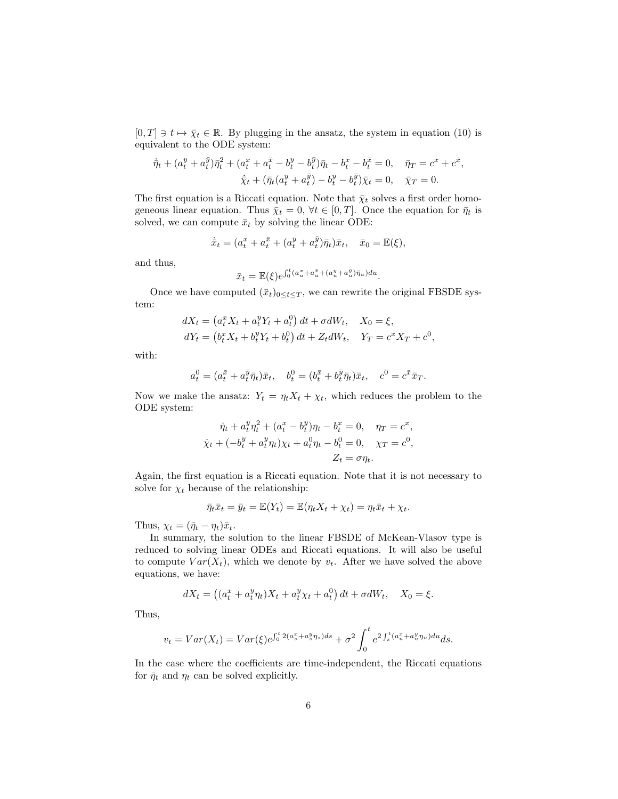$[0, T] \ni t \mapsto \overline{\chi}_t \in \mathbb{R}$ . By plugging in the ansatz, the system in equation (10) is equivalent to the ODE system:

$$
\dot{\bar{\eta}}_t + (a_t^y + a_t^{\bar{y}})\bar{\eta}_t^2 + (a_t^x + a_t^{\bar{x}} - b_t^y - b_t^{\bar{y}})\bar{\eta}_t - b_t^x - b_t^{\bar{x}} = 0, \quad \bar{\eta}_T = c^x + c^{\bar{x}},
$$
  

$$
\dot{\bar{\chi}}_t + (\bar{\eta}_t(a_t^y + a_t^{\bar{y}}) - b_t^y - b_t^{\bar{y}})\bar{\chi}_t = 0, \quad \bar{\chi}_T = 0.
$$

The first equation is a Riccati equation. Note that  $\bar{\chi}_t$  solves a first order homogeneous linear equation. Thus  $\bar{\chi}_t = 0$ ,  $\forall t \in [0, T]$ . Once the equation for  $\bar{\eta}_t$  is solved, we can compute  $\bar{x}_t$  by solving the linear ODE:

$$
\dot{\bar{x}}_t = (a_t^x + a_t^{\bar{x}} + (a_t^y + a_t^{\bar{y}})\bar{\eta}_t)\bar{x}_t, \quad \bar{x}_0 = \mathbb{E}(\xi),
$$

and thus,

$$
\bar{x}_t = \mathbb{E}(\xi) e^{\int_0^t (a_u^x + a_u^{\bar{x}} + (a_u^y + a_u^{\bar{y}})\bar{\eta}_u) du}.
$$

Once we have computed  $(\bar{x}_t)_{0 \leq t \leq T}$ , we can rewrite the original FBSDE system:

$$
dX_t = (a_t^x X_t + a_t^y Y_t + a_t^0) dt + \sigma dW_t, \quad X_0 = \xi,
$$
  
\n
$$
dY_t = (b_t^x X_t + b_t^y Y_t + b_t^0) dt + Z_t dW_t, \quad Y_T = c^x X_T + c^0,
$$

with:

$$
a_t^0 = (a_t^{\bar{x}} + a_t^{\bar{y}} \bar{\eta}_t) \bar{x}_t, \quad b_t^0 = (b_t^{\bar{x}} + b_t^{\bar{y}} \bar{\eta}_t) \bar{x}_t, \quad c^0 = c^{\bar{x}} \bar{x}_T.
$$

Now we make the ansatz:  $Y_t = \eta_t X_t + \chi_t$ , which reduces the problem to the ODE system:

$$
\dot{\eta}_t + a_t^y \eta_t^2 + (a_t^x - b_t^y)\eta_t - b_t^x = 0, \quad \eta_T = c^x,
$$
  

$$
\dot{\chi}_t + (-b_t^y + a_t^y \eta_t)\chi_t + a_t^0 \eta_t - b_t^0 = 0, \quad \chi_T = c^0,
$$
  

$$
Z_t = \sigma \eta_t.
$$

Again, the first equation is a Riccati equation. Note that it is not necessary to solve for  $\chi_t$  because of the relationship:

$$
\bar{\eta}_t \bar{x}_t = \bar{y}_t = \mathbb{E}(Y_t) = \mathbb{E}(\eta_t X_t + \chi_t) = \eta_t \bar{x}_t + \chi_t.
$$

Thus,  $\chi_t = (\bar{\eta}_t - \eta_t)\bar{x}_t$ .

In summary, the solution to the linear FBSDE of McKean-Vlasov type is reduced to solving linear ODEs and Riccati equations. It will also be useful to compute  $Var(X_t)$ , which we denote by  $v_t$ . After we have solved the above equations, we have:

$$
dX_t = ((a_t^x + a_t^y \eta_t)X_t + a_t^y \chi_t + a_t^0) dt + \sigma dW_t, \quad X_0 = \xi.
$$

Thus,

$$
v_t = Var(X_t) = Var(\xi) e^{\int_0^t 2(a_s^x + a_s^y \eta_s) ds} + \sigma^2 \int_0^t e^{2 \int_s^t (a_u^x + a_u^y \eta_u) du} ds.
$$

In the case where the coefficients are time-independent, the Riccati equations for  $\bar{\eta}_t$  and  $\eta_t$  can be solved explicitly.